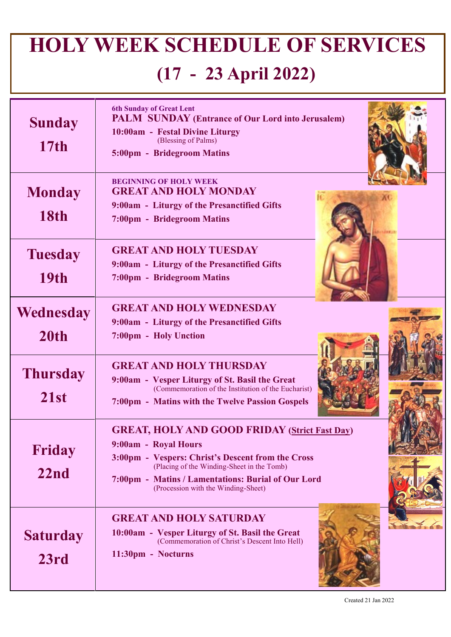## **HOLY WEEK SCHEDULE OF SERVICES (17 - 23 April 2022)**

| <b>Sunday</b><br>17 <sub>th</sub> | <b>6th Sunday of Great Lent</b><br><b>PALM SUNDAY (Entrance of Our Lord into Jerusalem)</b><br>10:00am - Festal Divine Liturgy<br>(Blessing of Palms)<br>5:00pm - Bridegroom Matins                                                                                          |  |
|-----------------------------------|------------------------------------------------------------------------------------------------------------------------------------------------------------------------------------------------------------------------------------------------------------------------------|--|
| <b>Monday</b><br><b>18th</b>      | <b>BEGINNING OF HOLY WEEK</b><br><b>GREAT AND HOLY MONDAY</b><br>9:00am - Liturgy of the Presanctified Gifts<br>7:00pm - Bridegroom Matins                                                                                                                                   |  |
| <b>Tuesday</b><br><b>19th</b>     | <b>GREAT AND HOLY TUESDAY</b><br>9:00am - Liturgy of the Presanctified Gifts<br>7:00pm - Bridegroom Matins                                                                                                                                                                   |  |
| Wednesday<br>20th                 | <b>GREAT AND HOLY WEDNESDAY</b><br>9:00am - Liturgy of the Presanctified Gifts<br>7:00pm - Holy Unction                                                                                                                                                                      |  |
| <b>Thursday</b><br>21st           | <b>GREAT AND HOLY THURSDAY</b><br>9:00am - Vesper Liturgy of St. Basil the Great<br>(Commemoration of the Institution of the Eucharist)<br>7:00pm - Matins with the Twelve Passion Gospels                                                                                   |  |
| Friday<br>22nd                    | <b>GREAT, HOLY AND GOOD FRIDAY (Strict Fast Day)</b><br>9:00am - Royal Hours<br>3:00pm - Vespers: Christ's Descent from the Cross<br>(Placing of the Winding-Sheet in the Tomb)<br>7:00pm - Matins / Lamentations: Burial of Our Lord<br>(Procession with the Winding-Sheet) |  |
| <b>Saturday</b><br>23rd           | <b>GREAT AND HOLY SATURDAY</b><br>10:00am - Vesper Liturgy of St. Basil the Great<br>(Commemoration of Christ's Descent Into Hell)<br>11:30pm - Nocturns                                                                                                                     |  |

Created 21 Jan 2022